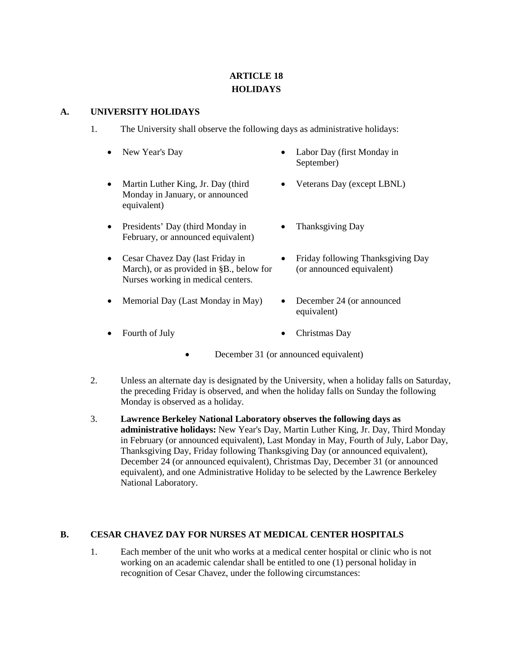# **ARTICLE 18 HOLIDAYS**

#### **A. UNIVERSITY HOLIDAYS**

- 1. The University shall observe the following days as administrative holidays:
	-
	- Martin Luther King, Jr. Day (third Monday in January, or announced equivalent)
	- Presidents' Day (third Monday in February, or announced equivalent)
	- Cesar Chavez Day (last Friday in March), or as provided in §B., below for Nurses working in medical centers.
	- Memorial Day (Last Monday in May) December 24 (or announced
- New Year's Day Labor Day (first Monday in September)
	- Veterans Day (except LBNL)
	- Thanksgiving Day
	- Friday following Thanksgiving Day (or announced equivalent)
	- equivalent)
	- Fourth of July Christmas Day
- - December 31 (or announced equivalent)
- 2. Unless an alternate day is designated by the University, when a holiday falls on Saturday, the preceding Friday is observed, and when the holiday falls on Sunday the following Monday is observed as a holiday.
- 3. **Lawrence Berkeley National Laboratory observes the following days as administrative holidays:** New Year's Day, Martin Luther King, Jr. Day, Third Monday in February (or announced equivalent), Last Monday in May, Fourth of July, Labor Day, Thanksgiving Day, Friday following Thanksgiving Day (or announced equivalent), December 24 (or announced equivalent), Christmas Day, December 31 (or announced equivalent), and one Administrative Holiday to be selected by the Lawrence Berkeley National Laboratory.

## **B. CESAR CHAVEZ DAY FOR NURSES AT MEDICAL CENTER HOSPITALS**

1. Each member of the unit who works at a medical center hospital or clinic who is not working on an academic calendar shall be entitled to one (1) personal holiday in recognition of Cesar Chavez, under the following circumstances: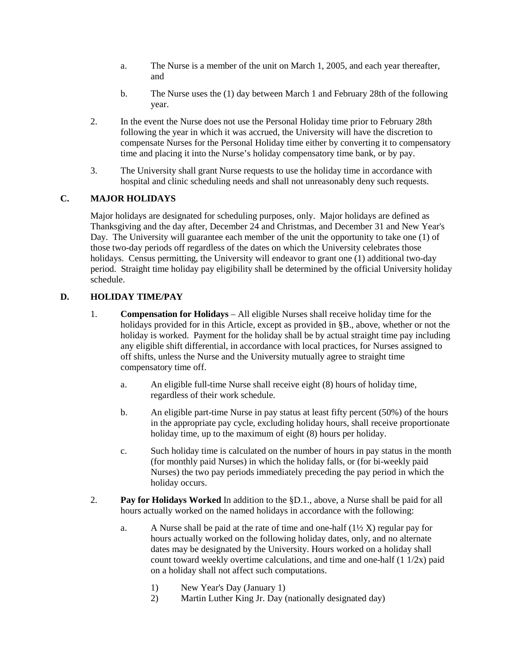- a. The Nurse is a member of the unit on March 1, 2005, and each year thereafter, and
- b. The Nurse uses the (1) day between March 1 and February 28th of the following year.
- 2. In the event the Nurse does not use the Personal Holiday time prior to February 28th following the year in which it was accrued, the University will have the discretion to compensate Nurses for the Personal Holiday time either by converting it to compensatory time and placing it into the Nurse's holiday compensatory time bank, or by pay.
- 3. The University shall grant Nurse requests to use the holiday time in accordance with hospital and clinic scheduling needs and shall not unreasonably deny such requests.

## **C. MAJOR HOLIDAYS**

Major holidays are designated for scheduling purposes, only. Major holidays are defined as Thanksgiving and the day after, December 24 and Christmas, and December 31 and New Year's Day. The University will guarantee each member of the unit the opportunity to take one (1) of those two-day periods off regardless of the dates on which the University celebrates those holidays. Census permitting, the University will endeavor to grant one (1) additional two-day period. Straight time holiday pay eligibility shall be determined by the official University holiday schedule.

### **D. HOLIDAY TIME/PAY**

- 1. **Compensation for Holidays** All eligible Nurses shall receive holiday time for the holidays provided for in this Article, except as provided in §B., above, whether or not the holiday is worked. Payment for the holiday shall be by actual straight time pay including any eligible shift differential, in accordance with local practices, for Nurses assigned to off shifts, unless the Nurse and the University mutually agree to straight time compensatory time off.
	- a. An eligible full-time Nurse shall receive eight (8) hours of holiday time, regardless of their work schedule.
	- b. An eligible part-time Nurse in pay status at least fifty percent (50%) of the hours in the appropriate pay cycle, excluding holiday hours, shall receive proportionate holiday time, up to the maximum of eight (8) hours per holiday.
	- c. Such holiday time is calculated on the number of hours in pay status in the month (for monthly paid Nurses) in which the holiday falls, or (for bi-weekly paid Nurses) the two pay periods immediately preceding the pay period in which the holiday occurs.
- 2. **Pay for Holidays Worked** In addition to the §D.1., above, a Nurse shall be paid for all hours actually worked on the named holidays in accordance with the following:
	- a. A Nurse shall be paid at the rate of time and one-half  $(1\frac{1}{2}X)$  regular pay for hours actually worked on the following holiday dates, only, and no alternate dates may be designated by the University. Hours worked on a holiday shall count toward weekly overtime calculations, and time and one-half  $(1 \frac{1}{2}x)$  paid on a holiday shall not affect such computations.
		- 1) New Year's Day (January 1)
		- 2) Martin Luther King Jr. Day (nationally designated day)